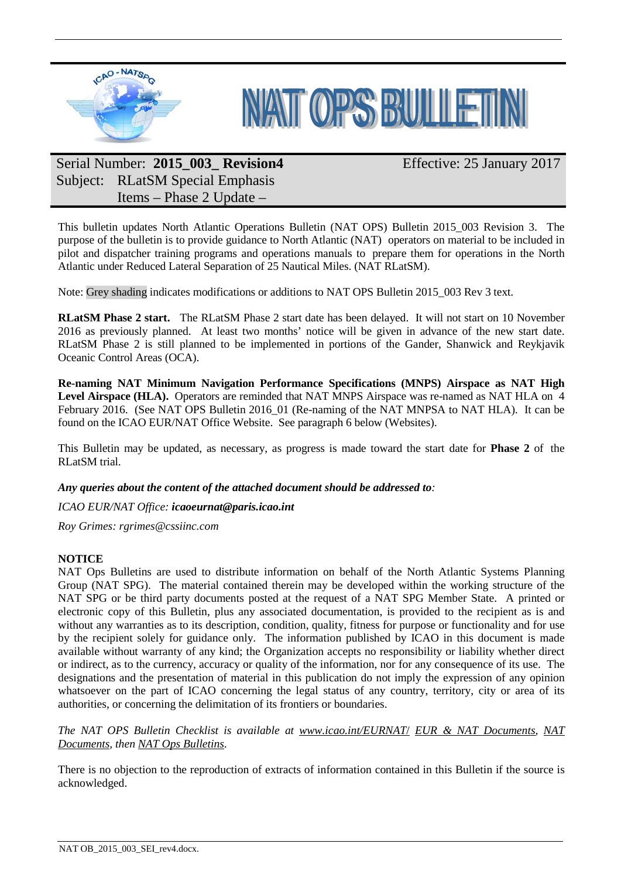



# Serial Number: **2015\_003\_ Revision4** Subject: RLatSM Special Emphasis Items – Phase 2 Update –

Effective: 25 January 2017

This bulletin updates North Atlantic Operations Bulletin (NAT OPS) Bulletin 2015\_003 Revision 3. The purpose of the bulletin is to provide guidance to North Atlantic (NAT) operators on material to be included in pilot and dispatcher training programs and operations manuals to prepare them for operations in the North Atlantic under Reduced Lateral Separation of 25 Nautical Miles. (NAT RLatSM).

Note: Grey shading indicates modifications or additions to NAT OPS Bulletin 2015 003 Rev 3 text.

**RLatSM Phase 2 start.** The RLatSM Phase 2 start date has been delayed. It will not start on 10 November 2016 as previously planned. At least two months' notice will be given in advance of the new start date. RLatSM Phase 2 is still planned to be implemented in portions of the Gander, Shanwick and Reykjavik Oceanic Control Areas (OCA).

**Re-naming NAT Minimum Navigation Performance Specifications (MNPS) Airspace as NAT High**  Level Airspace (HLA). Operators are reminded that NAT MNPS Airspace was re-named as NAT HLA on 4 February 2016. (See NAT OPS Bulletin 2016 01 (Re-naming of the NAT MNPSA to NAT HLA). It can be found on the ICAO EUR/NAT Office Website. See paragraph 6 below (Websites).

This Bulletin may be updated, as necessary, as progress is made toward the start date for **Phase 2** of the RLatSM trial.

*Any queries about the content of the attached document should be addressed to:*

*ICAO EUR/NAT Office: [icaoeurnat@paris.icao.int](mailto:icaoeurnat@paris.icao.int)*

*Roy Grimes: rgrimes@cssiinc.com*

## **NOTICE**

NAT Ops Bulletins are used to distribute information on behalf of the North Atlantic Systems Planning Group (NAT SPG). The material contained therein may be developed within the working structure of the NAT SPG or be third party documents posted at the request of a NAT SPG Member State. A printed or electronic copy of this Bulletin, plus any associated documentation, is provided to the recipient as is and without any warranties as to its description, condition, quality, fitness for purpose or functionality and for use by the recipient solely for guidance only. The information published by ICAO in this document is made available without warranty of any kind; the Organization accepts no responsibility or liability whether direct or indirect, as to the currency, accuracy or quality of the information, nor for any consequence of its use. The designations and the presentation of material in this publication do not imply the expression of any opinion whatsoever on the part of ICAO concerning the legal status of any country, territory, city or area of its authorities, or concerning the delimitation of its frontiers or boundaries.

*The NAT OPS Bulletin Checklist is available at [www.icao.int/EURNAT](http://www.icao.int/EURNAT/)*/ *[EUR & NAT Documents,](http://www.icao.int/EURNAT/Pages/EUR-and-NAT-Document.aspx) [NAT](http://www.icao.int/EURNAT/Pages/EUR-and-NAT-Document.aspx?RootFolder=%2FEURNAT%2FEUR%20and%20NAT%20Documents%2FNAT%20Documents&FolderCTID=0x012000DAF95319EADD9946B510C5D7B595637D00AA5EB47B299B9A4BAD1968B24E18655C&View=%7b2666E7DD-5F4E-4E64-B16A-CF142A1E5BC9%7d)  [Documents,](http://www.icao.int/EURNAT/Pages/EUR-and-NAT-Document.aspx?RootFolder=%2FEURNAT%2FEUR%20and%20NAT%20Documents%2FNAT%20Documents&FolderCTID=0x012000DAF95319EADD9946B510C5D7B595637D00AA5EB47B299B9A4BAD1968B24E18655C&View=%7b2666E7DD-5F4E-4E64-B16A-CF142A1E5BC9%7d) then [NAT Ops Bulletins](http://www.icao.int/EURNAT/Pages/EUR-and-NAT-Document.aspx?RootFolder=%2FEURNAT%2FEUR%20and%20NAT%20Documents%2FNAT%20Documents%2FNAT%20OPS%20Bulletins&FolderCTID=0x012000DAF95319EADD9946B510C5D7B595637D00AA5EB47B299B9A4BAD1968B24E18655C&View=%7b2666E7DD-5F4E-4E64-B16A-CF142A1E5BC9%7d)*.

There is no objection to the reproduction of extracts of information contained in this Bulletin if the source is acknowledged.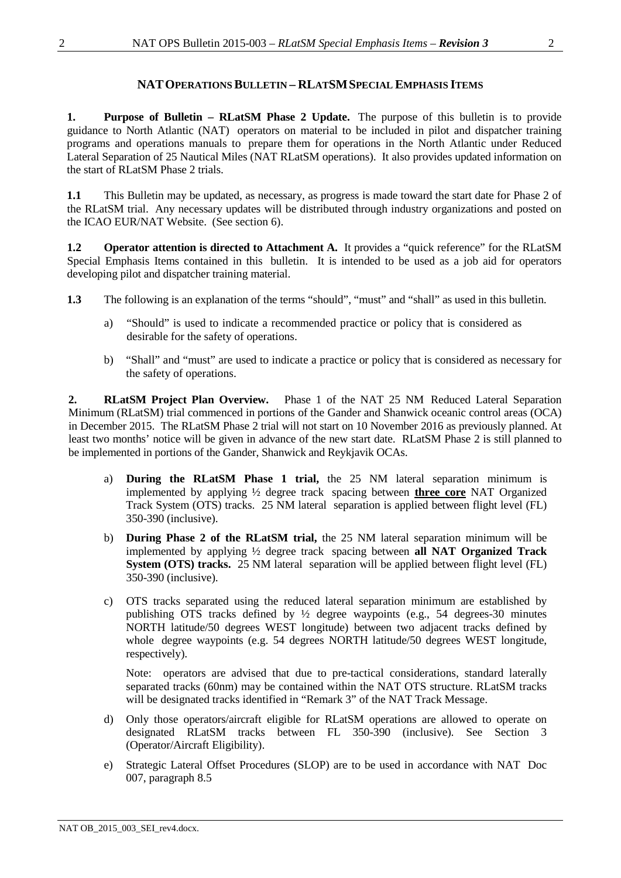## **NATOPERATIONSBULLETIN – RLATSMSPECIAL EMPHASIS ITEMS**

**1. Purpose of Bulletin – RLatSM Phase 2 Update.** The purpose of this bulletin is to provide guidance to North Atlantic (NAT) operators on material to be included in pilot and dispatcher training programs and operations manuals to prepare them for operations in the North Atlantic under Reduced Lateral Separation of 25 Nautical Miles (NAT RLatSM operations). It also provides updated information on the start of RLatSM Phase 2 trials.

**1.1** This Bulletin may be updated, as necessary, as progress is made toward the start date for Phase 2 of the RLatSM trial. Any necessary updates will be distributed through industry organizations and posted on the ICAO EUR/NAT Website. (See section [6\)](#page-7-0).

**1.2 Operator attention is directed to [Attachment](#page-9-0) A.** It provides a "quick reference" for the RLatSM Special Emphasis Items contained in this bulletin. It is intended to be used as a job aid for operators developing pilot and dispatcher training material.

- **1.3** The following is an explanation of the terms "should", "must" and "shall" as used in this bulletin.
	- a) "Should" is used to indicate a recommended practice or policy that is considered as desirable for the safety of operations.
	- b) "Shall" and "must" are used to indicate a practice or policy that is considered as necessary for the safety of operations.

**2. RLatSM Project Plan Overview.** Phase 1 of the NAT 25 NM Reduced Lateral Separation Minimum (RLatSM) trial commenced in portions of the Gander and Shanwick oceanic control areas (OCA) in December 2015. The RLatSM Phase 2 trial will not start on 10 November 2016 as previously planned. At least two months' notice will be given in advance of the new start date. RLatSM Phase 2 is still planned to be implemented in portions of the Gander, Shanwick and Reykjavik OCAs.

- a) **During the RLatSM Phase 1 trial,** the 25 NM lateral separation minimum is implemented by applying ½ degree track spacing between **three core** NAT Organized Track System (OTS) tracks. 25 NM lateral separation is applied between flight level (FL) 350-390 (inclusive).
- b) **During Phase 2 of the RLatSM trial,** the 25 NM lateral separation minimum will be implemented by applying ½ degree track spacing between **all NAT Organized Track System (OTS) tracks.** 25 NM lateral separation will be applied between flight level (FL) 350-390 (inclusive).
- c) OTS tracks separated using the reduced lateral separation minimum are established by publishing OTS tracks defined by ½ degree waypoints (e.g., 54 degrees-30 minutes NORTH latitude/50 degrees WEST longitude) between two adjacent tracks defined by whole degree waypoints (e.g. 54 degrees NORTH latitude/50 degrees WEST longitude, respectively).

Note: operators are advised that due to pre-tactical considerations, standard laterally separated tracks (60nm) may be contained within the NAT OTS structure. RLatSM tracks will be designated tracks identified in "Remark 3" of the NAT Track Message.

- d) Only those operators/aircraft eligible for RLatSM operations are allowed to operate on designated RLatSM tracks between FL 350-390 (inclusive). See Section 3 (Operator/Aircraft Eligibility).
- e) Strategic Lateral Offset Procedures (SLOP) are to be used in accordance with NAT Doc 007, paragraph 8.5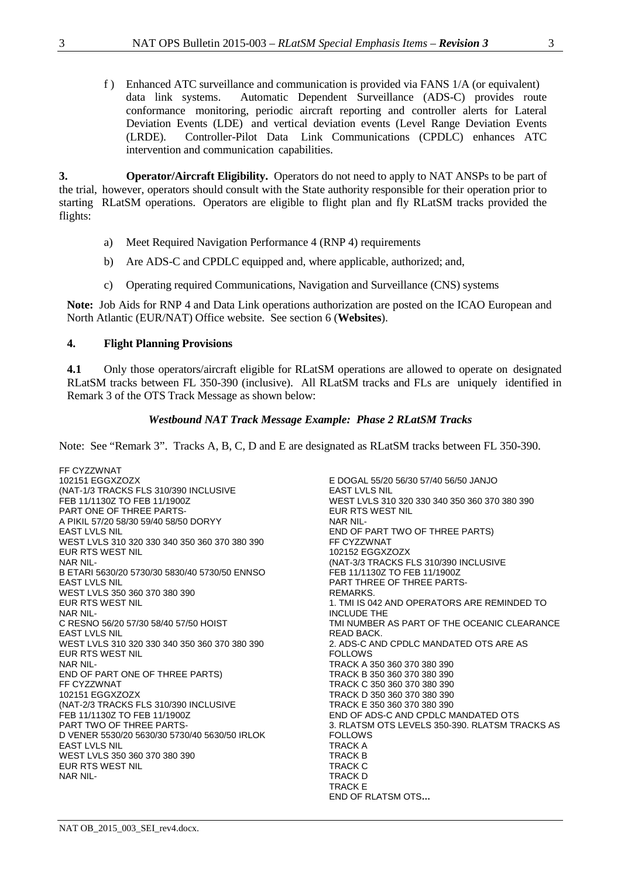f ) Enhanced ATC surveillance and communication is provided via FANS 1/A (or equivalent) data link systems. Automatic Dependent Surveillance (ADS-C) provides route conformance monitoring, periodic aircraft reporting and controller alerts for Lateral Deviation Events (LDE) and vertical deviation events (Level Range Deviation Events (LRDE). Controller-Pilot Data Link Communications (CPDLC) enhances ATC intervention and communication capabilities.

**3. Operator/Aircraft Eligibility.** Operators do not need to apply to NAT ANSPs to be part of the trial, however, operators should consult with the State authority responsible for their operation prior to starting RLatSM operations. Operators are eligible to flight plan and fly RLatSM tracks provided the flights:

- a) Meet Required Navigation Performance 4 (RNP 4) requirements
- b) Are ADS-C and CPDLC equipped and, where applicable, authorized; and,
- c) Operating required Communications, Navigation and Surveillance (CNS) systems

**Note:** Job Aids for RNP 4 and Data Link operations authorization are posted on the ICAO European and North Atlantic (EUR/NAT) Office website. See section 6 (**[Websites](#page-7-0)**).

#### <span id="page-2-0"></span>**4. Flight Planning Provisions**

**4.1** Only those operators/aircraft eligible for RLatSM operations are allowed to operate on designated RLatSM tracks between FL 350-390 (inclusive). All RLatSM tracks and FLs are uniquely identified in Remark 3 of the OTS Track Message as shown below:

#### *Westbound NAT Track Message Example: Phase 2 RLatSM Tracks*

Note: See "Remark 3". Tracks A, B, C, D and E are designated as RLatSM tracks between FL 350-390.

FF CYZZWNAT 102151 EGGXZOZX (NAT-1/3 TRACKS FLS 310/390 INCLUSIVE FEB 11/1130Z TO FEB 11/1900Z PART ONE OF THREE PARTS-A PIKIL 57/20 58/30 59/40 58/50 DORYY EAST LVLS NIL WEST LVLS 310 320 330 340 350 360 370 380 390 EUR RTS WEST NIL NAR NIL-B ETARI 5630/20 5730/30 5830/40 5730/50 ENNSO EAST LVLS NIL WEST LVLS 350 360 370 380 390 EUR RTS WEST NIL NAR NIL-C RESNO 56/20 57/30 58/40 57/50 HOIST EAST LVLS NIL WEST LVLS 310 320 330 340 350 360 370 380 390 EUR RTS WEST NIL NAR NIL-END OF PART ONE OF THREE PARTS) FF CYZZWNAT 102151 EGGXZOZX (NAT-2/3 TRACKS FLS 310/390 INCLUSIVE FEB 11/1130Z TO FEB 11/1900Z PART TWO OF THREE PARTS-D VENER 5530/20 5630/30 5730/40 5630/50 IRLOK EAST LVLS NIL WEST LVLS 350 360 370 380 390 EUR RTS WEST NIL NAR NIL-

E DOGAL 55/20 56/30 57/40 56/50 JANJO EAST LVLS NIL WEST LVLS 310 320 330 340 350 360 370 380 390 EUR RTS WEST NIL NAR NIL-END OF PART TWO OF THREE PARTS) FF CYZZWNAT 102152 EGGXZOZX (NAT-3/3 TRACKS FLS 310/390 INCLUSIVE FEB 11/1130Z TO FEB 11/1900Z PART THREE OF THREE PARTS-REMARKS. 1. TMI IS 042 AND OPERATORS ARE REMINDED TO INCLUDE THE TMI NUMBER AS PART OF THE OCEANIC CLEARANCE READ BACK. 2. ADS-C AND CPDLC MANDATED OTS ARE AS FOLLOWS TRACK A 350 360 370 380 390 TRACK B 350 360 370 380 390 TRACK C 350 360 370 380 390 TRACK D 350 360 370 380 390 TRACK E 350 360 370 380 390 END OF ADS-C AND CPDLC MANDATED OTS 3. RLATSM OTS LEVELS 350-390. RLATSM TRACKS AS FOLLOWS TRACK A TRACK B TRACK C TRACK D TRACK E END OF RLATSM OTS**…**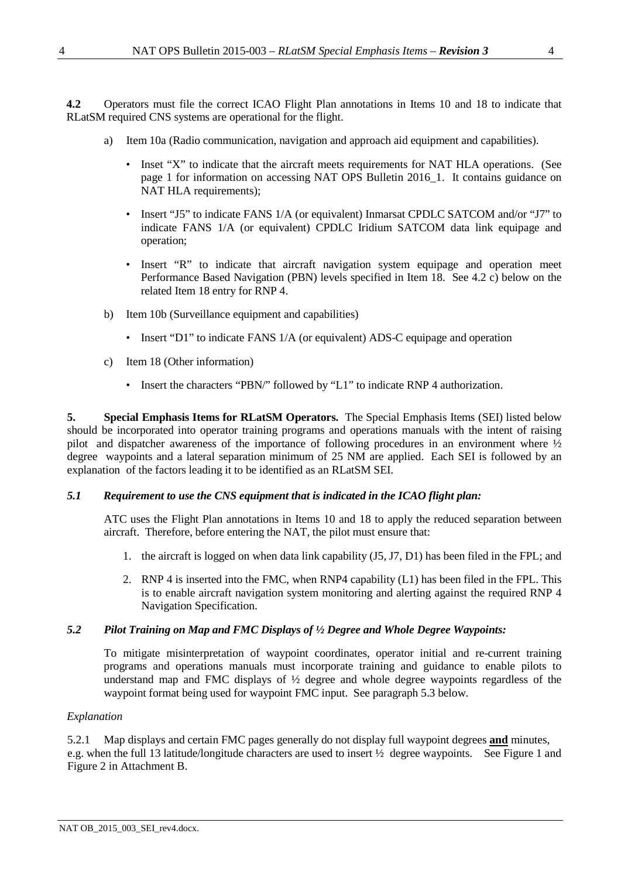**4.2** Operators must file the correct ICAO Flight Plan annotations in Items 10 and 18 to indicate that RLatSM required CNS systems are operational for the flight.

- a) Item 10a (Radio communication, navigation and approach aid equipment and capabilities).
	- Inset "X" to indicate that the aircraft meets requirements for NAT HLA operations. (See page 1 for information on accessing NAT OPS Bulletin 2016 1. It contains guidance on NAT HLA requirements);
	- Insert "J5" to indicate FANS 1/A (or equivalent) Inmarsat CPDLC SATCOM and/or "J7" to indicate FANS 1/A (or equivalent) CPDLC Iridium SATCOM data link equipage and operation;
	- Insert "R" to indicate that aircraft navigation system equipage and operation meet Performance Based Navigation (PBN) levels specified in Item 18. See 4.2 c) below on the related Item 18 entry for RNP 4.
- b) Item 10b (Surveillance equipment and capabilities)
	- Insert "D1" to indicate FANS 1/A (or equivalent) ADS-C equipage and operation
- c) Item 18 (Other information)
	- Insert the characters "PBN/" followed by "L1" to indicate RNP 4 authorization.

**5. Special Emphasis Items for RLatSM Operators.** The Special Emphasis Items (SEI) listed below should be incorporated into operator training programs and operations manuals with the intent of raising pilot and dispatcher awareness of the importance of following procedures in an environment where ½ degree waypoints and a lateral separation minimum of 25 NM are applied. Each SEI is followed by an explanation of the factors leading it to be identified as an RLatSM SEI.

### <span id="page-3-0"></span>*5.1 Requirement to use the CNS equipment that is indicated in the ICAO flight plan:*

ATC uses the Flight Plan annotations in Items 10 and 18 to apply the reduced separation between aircraft. Therefore, before entering the NAT, the pilot must ensure that:

- 1. the aircraft is logged on when data link capability (J5, J7, D1) has been filed in the FPL; and
- 2. RNP 4 is inserted into the FMC, when RNP4 capability (L1) has been filed in the FPL. This is to enable aircraft navigation system monitoring and alerting against the required RNP 4 Navigation Specification.

### <span id="page-3-1"></span>*5.2 Pilot Training on Map and FMC Displays of ½ Degree and Whole Degree Waypoints:*

To mitigate misinterpretation of waypoint coordinates, operator initial and re-current training programs and operations manuals must incorporate training and guidance to enable pilots to understand map and FMC displays of ½ degree and whole degree waypoints regardless of the waypoint format being used for waypoint FMC input. See paragraph 5.3 below.

### *Explanation*

5.2.1 Map displays and certain FMC pages generally do not display full waypoint degrees **and** minutes, e.g. when the full 13 latitude/longitude characters are used to insert ½ degree waypoints. See [Figure 1](#page-11-0) and [Figure 2](#page-12-0) in Attachment B[.](#page-12-1)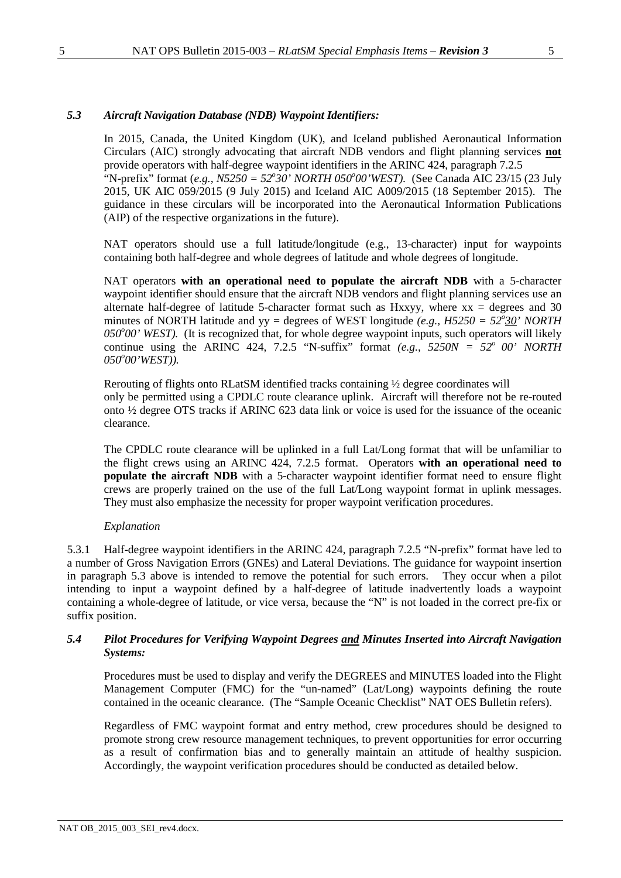#### <span id="page-4-0"></span>*5.3 Aircraft Navigation Database (NDB) Waypoint Identifiers:*

In 2015, Canada, the United Kingdom (UK), and Iceland published Aeronautical Information Circulars (AIC) strongly advocating that aircraft NDB vendors and flight planning services **not** provide operators with half-degree waypoint identifiers in the ARINC 424, paragraph 7.2.5 "N-prefix" format (e.g., N5250 = 52°30' NORTH 050°00'WEST). (See Canada AIC 23/15 (23 July 2015, UK AIC 059/2015 (9 July 2015) and Iceland AIC A009/2015 (18 September 2015). The guidance in these circulars will be incorporated into the Aeronautical Information Publications (AIP) of the respective organizations in the future).

NAT operators should use a full latitude/longitude (e.g., 13-character) input for waypoints containing both half-degree and whole degrees of latitude and whole degrees of longitude.

NAT operators **with an operational need to populate the aircraft NDB** with a 5-character waypoint identifier should ensure that the aircraft NDB vendors and flight planning services use an alternate half-degree of latitude 5-character format such as Hxxyy, where  $xx =$  degrees and 30 minutes of NORTH latitude and  $yy =$  degrees of WEST longitude *(e.g., H5250* = 52 $\frac{30}{20}$ ' NORTH 050°00' WEST). (It is recognized that, for whole degree waypoint inputs, such operators will likely continue using the ARINC 424, 7.2.5 "N-suffix" format  $(e.g., 5250N = 52^{\circ} 00' NORTH)$ *050<sup>o</sup> 00'WEST)).*

Rerouting of flights onto RLatSM identified tracks containing ½ degree coordinates will only be permitted using a CPDLC route clearance uplink. Aircraft will therefore not be re-routed onto ½ degree OTS tracks if ARINC 623 data link or voice is used for the issuance of the oceanic clearance.

The CPDLC route clearance will be uplinked in a full Lat/Long format that will be unfamiliar to the flight crews using an ARINC 424, 7.2.5 format. Operators **with an operational need to populate the aircraft NDB** with a 5-character waypoint identifier format need to ensure flight crews are properly trained on the use of the full Lat/Long waypoint format in uplink messages. They must also emphasize the necessity for proper waypoint verification procedures.

#### *Explanation*

5.3.1 Half-degree waypoint identifiers in the ARINC 424, paragraph 7.2.5 "N-prefix" format have led to a number of Gross Navigation Errors (GNEs) and Lateral Deviations. The guidance for waypoint insertion in paragraph [5.3 above](#page-4-0) is intended to remove the potential for such errors. They occur when a pilot intending to input a waypoint defined by a half-degree of latitude inadvertently loads a waypoint containing a whole-degree of latitude, or vice versa, because the "N" is not loaded in the correct pre-fix or suffix position.

#### <span id="page-4-1"></span>*5.4 Pilot Procedures for Verifying Waypoint Degrees and Minutes Inserted into Aircraft Navigation Systems:*

Procedures must be used to display and verify the DEGREES and MINUTES loaded into the Flight Management Computer (FMC) for the "un-named" (Lat/Long) waypoints defining the route contained in the oceanic clearance. (The "Sample Oceanic Checklist" NAT OES Bulletin refers).

Regardless of FMC waypoint format and entry method, crew procedures should be designed to promote strong crew resource management techniques, to prevent opportunities for error occurring as a result of confirmation bias and to generally maintain an attitude of healthy suspicion. Accordingly, the waypoint verification procedures should be conducted as detailed below.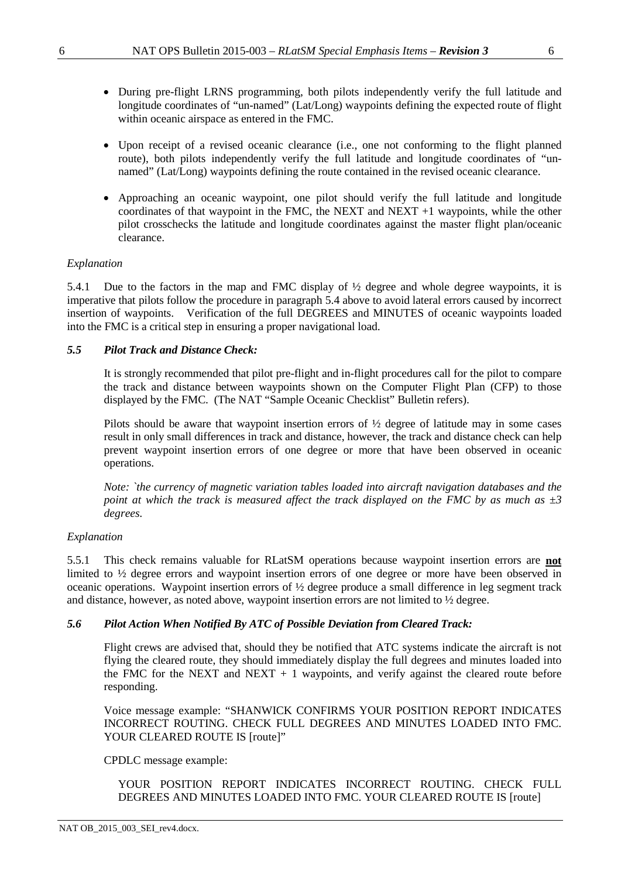- During pre-flight LRNS programming, both pilots independently verify the full latitude and longitude coordinates of "un-named" (Lat/Long) waypoints defining the expected route of flight within oceanic airspace as entered in the FMC.
- Upon receipt of a revised oceanic clearance (i.e., one not conforming to the flight planned route), both pilots independently verify the full latitude and longitude coordinates of "unnamed" (Lat/Long) waypoints defining the route contained in the revised oceanic clearance.
- Approaching an oceanic waypoint, one pilot should verify the full latitude and longitude coordinates of that waypoint in the FMC, the NEXT and NEXT  $+1$  waypoints, while the other pilot crosschecks the latitude and longitude coordinates against the master flight plan/oceanic clearance.

## *Explanation*

5.4.1 Due to the factors in the map and FMC display of ½ degree and whole degree waypoints, it is imperative that pilots follow the procedure in paragraph [5.4](#page-4-1) above to avoid lateral errors caused by incorrect insertion of waypoints. Verification of the full DEGREES and MINUTES of oceanic waypoints loaded into the FMC is a critical step in ensuring a proper navigational load.

### <span id="page-5-0"></span>*5.5 Pilot Track and Distance Check:*

It is strongly recommended that pilot pre-flight and in-flight procedures call for the pilot to compare the track and distance between waypoints shown on the Computer Flight Plan (CFP) to those displayed by the FMC. (The NAT "Sample Oceanic Checklist" Bulletin refers).

Pilots should be aware that waypoint insertion errors of ½ degree of latitude may in some cases result in only small differences in track and distance, however, the track and distance check can help prevent waypoint insertion errors of one degree or more that have been observed in oceanic operations.

*Note: `the currency of magnetic variation tables loaded into aircraft navigation databases and the point at which the track is measured affect the track displayed on the FMC by as much as ±3 degrees.*

### *Explanation*

5.5.1 This check remains valuable for RLatSM operations because waypoint insertion errors are **not** limited to ½ degree errors and waypoint insertion errors of one degree or more have been observed in oceanic operations. Waypoint insertion errors of ½ degree produce a small difference in leg segment track and distance, however, as noted above, waypoint insertion errors are not limited to ½ degree.

### *5.6 Pilot Action When Notified By ATC of Possible Deviation from Cleared Track:*

Flight crews are advised that, should they be notified that ATC systems indicate the aircraft is not flying the cleared route, they should immediately display the full degrees and minutes loaded into the FMC for the NEXT and NEXT  $+ 1$  waypoints, and verify against the cleared route before responding.

Voice message example: "SHANWICK CONFIRMS YOUR POSITION REPORT INDICATES INCORRECT ROUTING. CHECK FULL DEGREES AND MINUTES LOADED INTO FMC. YOUR CLEARED ROUTE IS [route]"

### CPDLC message example:

YOUR POSITION REPORT INDICATES INCORRECT ROUTING. CHECK FULL DEGREES AND MINUTES LOADED INTO FMC. YOUR CLEARED ROUTE IS [route]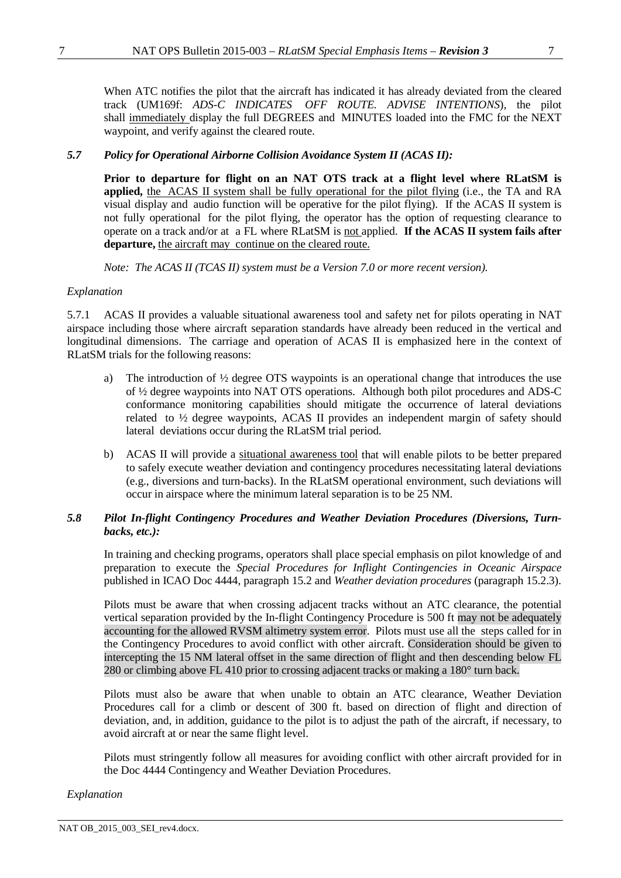When ATC notifies the pilot that the aircraft has indicated it has already deviated from the cleared track (UM169f: *ADS-C INDICATES OFF ROUTE. ADVISE INTENTIONS*), the pilot shall immediately display the full DEGREES and MINUTES loaded into the FMC for the NEXT waypoint, and verify against the cleared route.

### <span id="page-6-0"></span>*5.7 Policy for Operational Airborne Collision Avoidance System II (ACAS II):*

**Prior to departure for flight on an NAT OTS track at a flight level where RLatSM is applied,** the ACAS II system shall be fully operational for the pilot flying (i.e., the TA and RA visual display and audio function will be operative for the pilot flying). If the ACAS II system is not fully operational for the pilot flying, the operator has the option of requesting clearance to operate on a track and/or at a FL where RLatSM is not applied. **If the ACAS II system fails after** departure, the aircraft may continue on the cleared route.

*Note: The ACAS II (TCAS II) system must be a Version 7.0 or more recent version).*

#### *Explanation*

5.7.1 ACAS II provides a valuable situational awareness tool and safety net for pilots operating in NAT airspace including those where aircraft separation standards have already been reduced in the vertical and longitudinal dimensions. The carriage and operation of ACAS II is emphasized here in the context of RLatSM trials for the following reasons:

- a) The introduction of ½ degree OTS waypoints is an operational change that introduces the use of ½ degree waypoints into NAT OTS operations. Although both pilot procedures and ADS-C conformance monitoring capabilities should mitigate the occurrence of lateral deviations related to ½ degree waypoints, ACAS II provides an independent margin of safety should lateral deviations occur during the RLatSM trial period.
- b) ACAS II will provide a situational awareness tool that will enable pilots to be better prepared to safely execute weather deviation and contingency procedures necessitating lateral deviations (e.g., diversions and turn-backs). In the RLatSM operational environment, such deviations will occur in airspace where the minimum lateral separation is to be 25 NM.

### <span id="page-6-1"></span>*5.8 Pilot In-flight Contingency Procedures and Weather Deviation Procedures (Diversions, Turnbacks, etc.):*

In training and checking programs, operators shall place special emphasis on pilot knowledge of and preparation to execute the *Special Procedures for Inflight Contingencies in Oceanic Airspace* published in ICAO Doc 4444, paragraph 15.2 and *Weather deviation procedures* (paragraph 15.2.3).

Pilots must be aware that when crossing adjacent tracks without an ATC clearance, the potential vertical separation provided by the In-flight Contingency Procedure is 500 ft may not be adequately accounting for the allowed RVSM altimetry system error. Pilots must use all the steps called for in the Contingency Procedures to avoid conflict with other aircraft. Consideration should be given to intercepting the 15 NM lateral offset in the same direction of flight and then descending below FL 280 or climbing above FL 410 prior to crossing adjacent tracks or making a 180° turn back.

Pilots must also be aware that when unable to obtain an ATC clearance, Weather Deviation Procedures call for a climb or descent of 300 ft. based on direction of flight and direction of deviation, and, in addition, guidance to the pilot is to adjust the path of the aircraft, if necessary, to avoid aircraft at or near the same flight level.

Pilots must stringently follow all measures for avoiding conflict with other aircraft provided for in the Doc 4444 Contingency and Weather Deviation Procedures.

### *Explanation*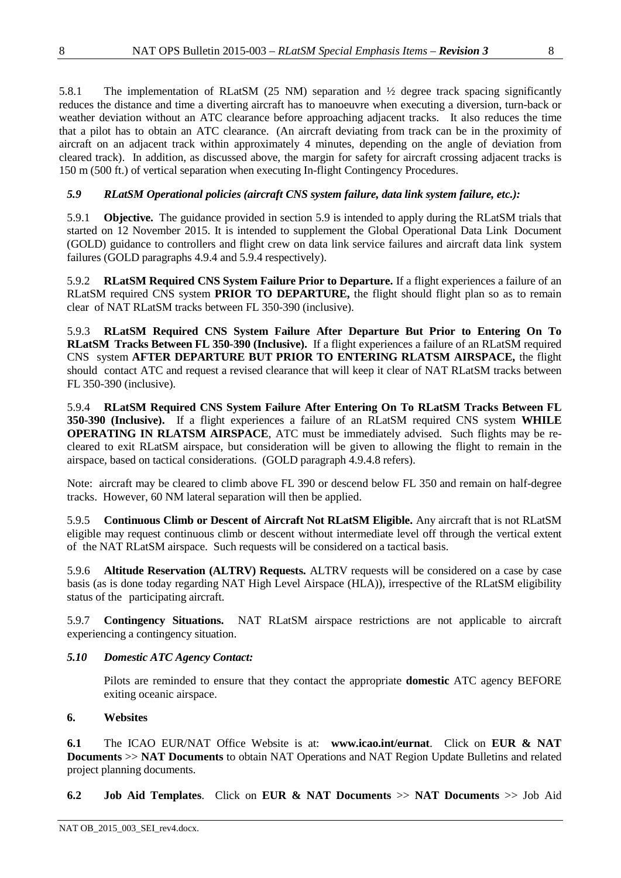5.8.1 The implementation of RLatSM (25 NM) separation and ½ degree track spacing significantly reduces the distance and time a diverting aircraft has to manoeuvre when executing a diversion, turn-back or weather deviation without an ATC clearance before approaching adjacent tracks. It also reduces the time that a pilot has to obtain an ATC clearance. (An aircraft deviating from track can be in the proximity of aircraft on an adjacent track within approximately 4 minutes, depending on the angle of deviation from cleared track). In addition, as discussed above, the margin for safety for aircraft crossing adjacent tracks is 150 m (500 ft.) of vertical separation when executing In-flight Contingency Procedures.

## <span id="page-7-1"></span>*5.9 RLatSM Operational policies (aircraft CNS system failure, data link system failure, etc.):*

5.9.1 **Objective.** The guidance provided in section [5.9](#page-7-1) is intended to apply during the RLatSM trials that started on 12 November 2015. It is intended to supplement the Global Operational Data Link Document (GOLD) guidance to controllers and flight crew on data link service failures and aircraft data link system failures (GOLD paragraphs 4.9.4 and 5.9.4 respectively).

5.9.2 **RLatSM Required CNS System Failure Prior to Departure.** If a flight experiences a failure of an RLatSM required CNS system **PRIOR TO DEPARTURE,** the flight should flight plan so as to remain clear of NAT RLatSM tracks between FL 350-390 (inclusive).

5.9.3 **RLatSM Required CNS System Failure After Departure But Prior to Entering On To RLatSM Tracks Between FL 350-390 (Inclusive).** If a flight experiences a failure of an RLatSM required CNS system **AFTER DEPARTURE BUT PRIOR TO ENTERING RLATSM AIRSPACE,** the flight should contact ATC and request a revised clearance that will keep it clear of NAT RLatSM tracks between FL 350-390 (inclusive).

5.9.4 **RLatSM Required CNS System Failure After Entering On To RLatSM Tracks Between FL 350-390 (Inclusive).** If a flight experiences a failure of an RLatSM required CNS system **WHILE OPERATING IN RLATSM AIRSPACE**, ATC must be immediately advised. Such flights may be recleared to exit RLatSM airspace, but consideration will be given to allowing the flight to remain in the airspace, based on tactical considerations. (GOLD paragraph 4.9.4.8 refers).

Note: aircraft may be cleared to climb above FL 390 or descend below FL 350 and remain on half-degree tracks. However, 60 NM lateral separation will then be applied.

5.9.5 **Continuous Climb or Descent of Aircraft Not RLatSM Eligible.** Any aircraft that is not RLatSM eligible may request continuous climb or descent without intermediate level off through the vertical extent of the NAT RLatSM airspace. Such requests will be considered on a tactical basis.

5.9.6 **Altitude Reservation (ALTRV) Requests.** ALTRV requests will be considered on a case by case basis (as is done today regarding NAT High Level Airspace (HLA)), irrespective of the RLatSM eligibility status of the participating aircraft.

5.9.7 **Contingency Situations.** NAT RLatSM airspace restrictions are not applicable to aircraft experiencing a contingency situation.

### <span id="page-7-2"></span>*5.10 Domestic ATC Agency Contact:*

Pilots are reminded to ensure that they contact the appropriate **domestic** ATC agency BEFORE exiting oceanic airspace.

### <span id="page-7-0"></span>**6. Websites**

**6.1** The ICAO EUR/NAT Office Website is at: **www.icao.int/eurnat**. Click on **[EUR & NAT](http://www.icao.int/EURNAT/Pages/EUR-and-NAT-Document.aspx)  [Documents](http://www.icao.int/EURNAT/Pages/EUR-and-NAT-Document.aspx)** >> **[NAT Documents](http://www.icao.int/EURNAT/Pages/EUR-and-NAT-Document.aspx?RootFolder=%2FEURNAT%2FEUR%20and%20NAT%20Documents%2FNAT%20Documents&FolderCTID=0x012000DAF95319EADD9946B510C5D7B595637D00AA5EB47B299B9A4BAD1968B24E18655C&View=%7b2666E7DD-5F4E-4E64-B16A-CF142A1E5BC9%7d)** to obtain NAT Operations and NAT Region Update Bulletins and related project planning documents.

**6.2 Job Aid Templates**. Click on **[EUR & NAT Documents](http://www.icao.int/EURNAT/Pages/EUR-and-NAT-Document.aspx)** >> **[NAT Documents](http://www.icao.int/EURNAT/Pages/EUR-and-NAT-Document.aspx?RootFolder=%2FEURNAT%2FEUR%20and%20NAT%20Documents%2FNAT%20Documents&FolderCTID=0x012000DAF95319EADD9946B510C5D7B595637D00AA5EB47B299B9A4BAD1968B24E18655C&View=%7b2666E7DD-5F4E-4E64-B16A-CF142A1E5BC9%7d)** >> Job Aid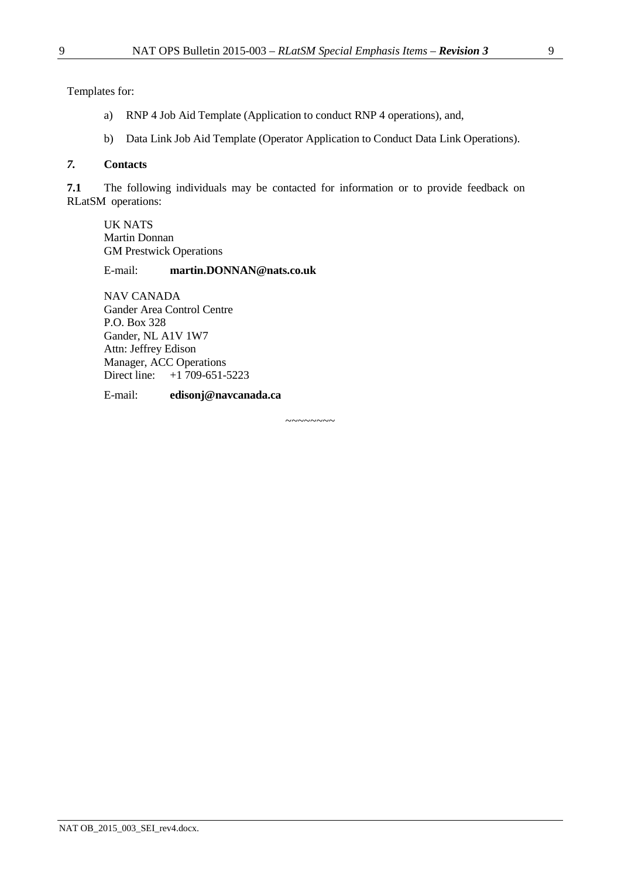Templates for:

- a) RNP 4 Job Aid Template (Application to conduct RNP 4 operations), and,
- b) Data Link Job Aid Template (Operator Application to Conduct Data Link Operations).

### *7.* **Contacts**

**7.1** The following individuals may be contacted for information or to provide feedback on RLatSM operations:

UK NATS Martin Donnan GM Prestwick Operations

### E-mail: **[martin.DONNAN@nats.co.uk](mailto:martin.DONNAN@nats.co.uk)**

NAV CANADA Gander Area Control Centre P.O. Box 328 Gander, NL A1V 1W7 Attn: Jeffrey Edison Manager, ACC Operations Direct line: +1 709-651-5223

E-mail: **[edisonj@navcanada.ca](mailto:edisonj@navcanada.ca)**

 $\sim$ ~~~~~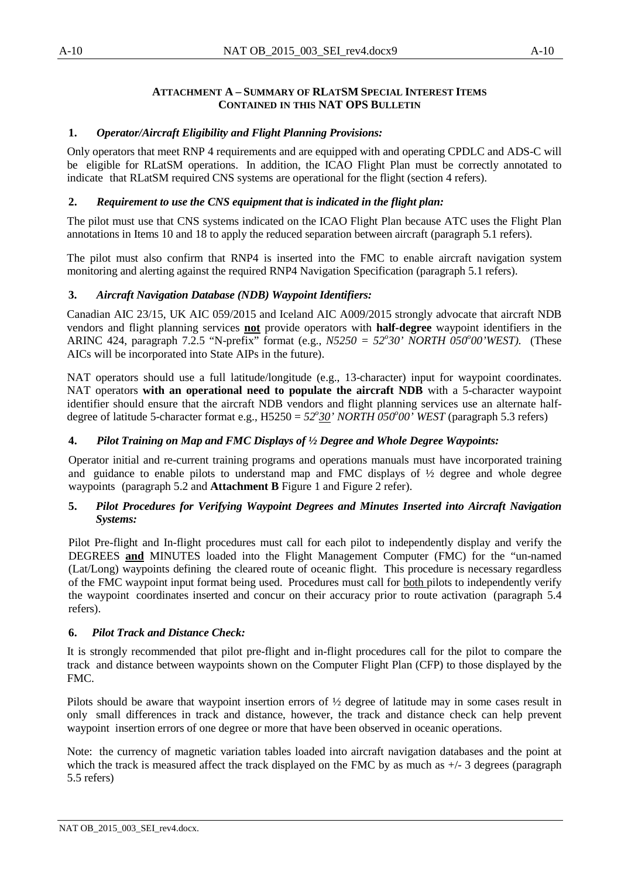#### **ATTACHMENT A – SUMMARY OF RLATSM SPECIAL INTEREST ITEMS CONTAINED IN THIS NAT OPS BULLETIN**

## <span id="page-9-0"></span>**1.** *Operator/Aircraft Eligibility and Flight Planning Provisions:*

Only operators that meet RNP 4 requirements and are equipped with and operating CPDLC and ADS-C will be eligible for RLatSM operations. In addition, the ICAO Flight Plan must be correctly annotated to indicate that RLatSM required CNS systems are operational for the flight (section [4](#page-2-0) refers).

## **2.** *Requirement to use the CNS equipment that is indicated in the flight plan:*

The pilot must use that CNS systems indicated on the ICAO Flight Plan because ATC uses the Flight Plan annotations in Items 10 and 18 to apply the reduced separation between aircraft (paragraph [5.1](#page-3-0) refers).

The pilot must also confirm that RNP4 is inserted into the FMC to enable aircraft navigation system monitoring and alerting against the required RNP4 Navigation Specification (paragraph [5.1](#page-3-0) refers).

## **3.** *Aircraft Navigation Database (NDB) Waypoint Identifiers:*

Canadian AIC 23/15, UK AIC 059/2015 and Iceland AIC A009/2015 strongly advocate that aircraft NDB vendors and flight planning services **not** provide operators with **half-degree** waypoint identifiers in the ARINC 424, paragraph 7.2.5 "N-prefix" format (e.g., *N5250 = 52<sup>o</sup> 30' NORTH 050<sup>o</sup> 00'WEST).* (These AICs will be incorporated into State AIPs in the future).

NAT operators should use a full latitude/longitude (e.g., 13-character) input for waypoint coordinates. NAT operators **with an operational need to populate the aircraft NDB** with a 5-character waypoint identifier should ensure that the aircraft NDB vendors and flight planning services use an alternate halfdegree of latitude 5-character format e.g., H5250 =  $52^{\circ}30'$  *NORTH 050°00'* WEST (paragraph [5.3](#page-4-0) refers)

### **4.** *Pilot Training on Map and FMC Displays of ½ Degree and Whole Degree Waypoints:*

Operator initial and re-current training programs and operations manuals must have incorporated training and guidance to enable pilots to understand map and FMC displays of  $\frac{1}{2}$  degree and whole degree waypoints (paragraph [5.2](#page-3-1) and **[Attachment](#page-11-1) B** [Figure 1](#page-11-0) and [Figure 2](#page-12-0) refer).

### **5.** *Pilot Procedures for Verifying Waypoint Degrees and Minutes Inserted into Aircraft Navigation Systems:*

Pilot Pre-flight and In-flight procedures must call for each pilot to independently display and verify the DEGREES **and** MINUTES loaded into the Flight Management Computer (FMC) for the "un-named (Lat/Long) waypoints defining the cleared route of oceanic flight. This procedure is necessary regardless of the FMC waypoint input format being used. Procedures must call for both pilots to independently verify the waypoint coordinates inserted and concur on their accuracy prior to route activation (paragraph [5.4](#page-4-1) refers).

## **6.** *Pilot Track and Distance Check:*

It is strongly recommended that pilot pre-flight and in-flight procedures call for the pilot to compare the track and distance between waypoints shown on the Computer Flight Plan (CFP) to those displayed by the FMC.

Pilots should be aware that waypoint insertion errors of ½ degree of latitude may in some cases result in only small differences in track and distance, however, the track and distance check can help prevent waypoint insertion errors of one degree or more that have been observed in oceanic operations.

Note: the currency of magnetic variation tables loaded into aircraft navigation databases and the point at which the track is measured affect the track displayed on the FMC by as much as  $+/-3$  degrees (paragraph [5.5](#page-5-0) refers)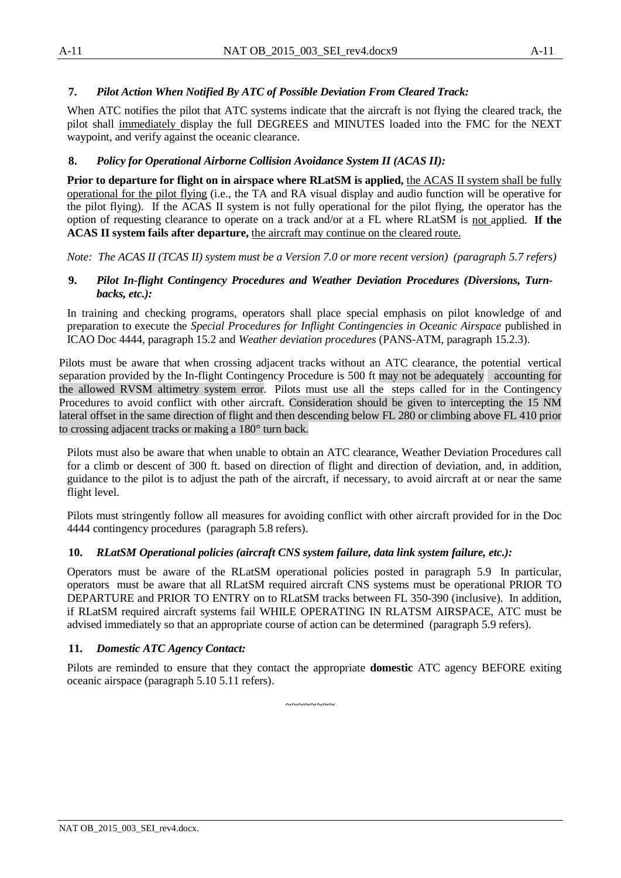## **7.** *Pilot Action When Notified By ATC of Possible Deviation From Cleared Track:*

When ATC notifies the pilot that ATC systems indicate that the aircraft is not flying the cleared track, the pilot shall immediately display the full DEGREES and MINUTES loaded into the FMC for the NEXT waypoint, and verify against the oceanic clearance.

### **8.** *Policy for Operational Airborne Collision Avoidance System II (ACAS II):*

**Prior to departure for flight on in airspace where RLatSM is applied,** the ACAS II system shall be fully operational for the pilot flying (i.e., the TA and RA visual display and audio function will be operative for the pilot flying). If the ACAS II system is not fully operational for the pilot flying, the operator has the option of requesting clearance to operate on a track and/or at a FL where RLatSM is not applied. **If the ACAS II system fails after departure,** the aircraft may continue on the cleared route.

*Note: The ACAS II (TCAS II) system must be a Version 7.0 or more recent version) (paragraph [5.7](#page-6-0) refers)*

### **9.** *Pilot In-flight Contingency Procedures and Weather Deviation Procedures (Diversions, Turnbacks, etc.):*

In training and checking programs, operators shall place special emphasis on pilot knowledge of and preparation to execute the *Special Procedures for Inflight Contingencies in Oceanic Airspace* published in ICAO Doc 4444, paragraph 15.2 and *Weather deviation procedures* (PANS-ATM, paragraph 15.2.3).

Pilots must be aware that when crossing adjacent tracks without an ATC clearance, the potential vertical separation provided by the In-flight Contingency Procedure is 500 ft may not be adequately accounting for the allowed RVSM altimetry system error. Pilots must use all the steps called for in the Contingency Procedures to avoid conflict with other aircraft. Consideration should be given to intercepting the 15 NM lateral offset in the same direction of flight and then descending below FL 280 or climbing above FL 410 prior to crossing adjacent tracks or making a 180° turn back.

Pilots must also be aware that when unable to obtain an ATC clearance, Weather Deviation Procedures call for a climb or descent of 300 ft. based on direction of flight and direction of deviation, and, in addition, guidance to the pilot is to adjust the path of the aircraft, if necessary, to avoid aircraft at or near the same flight level.

Pilots must stringently follow all measures for avoiding conflict with other aircraft provided for in the Doc 4444 contingency procedures (paragraph [5.8](#page-6-1) refers).

### **10.** *RLatSM Operational policies (aircraft CNS system failure, data link system failure, etc.):*

Operators must be aware of the RLatSM operational policies posted in paragraph [5.9](#page-7-1) In particular, operators must be aware that all RLatSM required aircraft CNS systems must be operational PRIOR TO DEPARTURE and PRIOR TO ENTRY on to RLatSM tracks between FL 350-390 (inclusive). In addition, if RLatSM required aircraft systems fail WHILE OPERATING IN RLATSM AIRSPACE, ATC must be advised immediately so that an appropriate course of action can be determined (paragraph [5.9](#page-7-1) refers).

### **11.** *Domestic ATC Agency Contact:*

Pilots are reminded to ensure that they contact the appropriate **domestic** ATC agency BEFORE exiting oceanic airspace (paragraph [5.10](#page-7-2) 5.11 refers).

 $~\sim$   $\sim$   $\sim$   $\sim$   $\sim$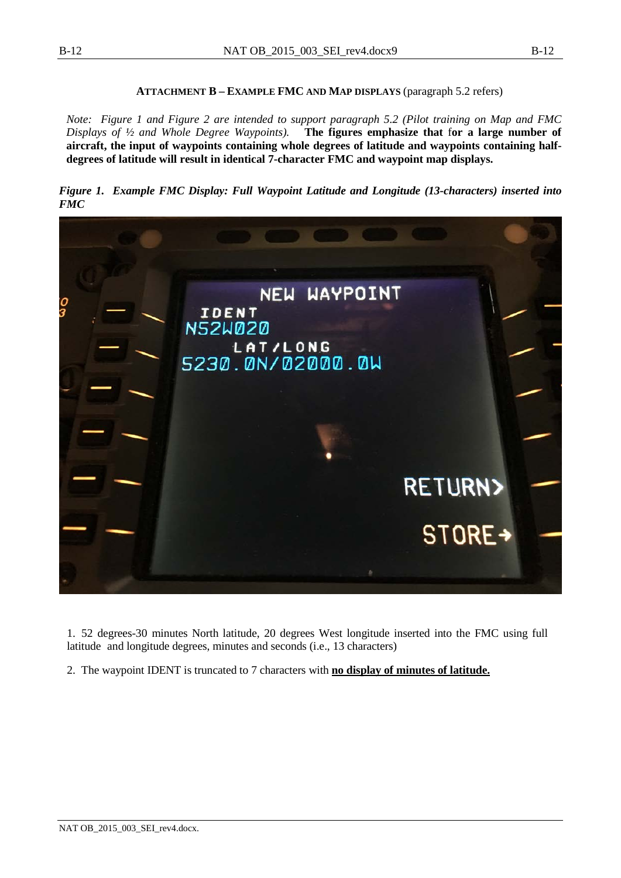#### **ATTACHMENT B – EXAMPLE FMC AND MAP DISPLAYS** (paragraph [5.2](#page-3-1) refers)

<span id="page-11-1"></span>*Note: [Figure 1](#page-11-0) and [Figure 2](#page-12-0) are intended to support paragraph [5.2](#page-3-1) (Pilot training on Map and FMC Displays of ½ and Whole Degree Waypoints).* **The figures emphasize that** f**or a large number of aircraft, the input of waypoints containing whole degrees of latitude and waypoints containing halfdegrees of latitude will result in identical 7-character FMC and waypoint map displays.**

<span id="page-11-0"></span>*Figure 1. Example FMC Display: Full Waypoint Latitude and Longitude (13-characters) inserted into FMC*



1. 52 degrees-30 minutes North latitude, 20 degrees West longitude inserted into the FMC using full latitude and longitude degrees, minutes and seconds (i.e., 13 characters)

2. The waypoint IDENT is truncated to 7 characters with **no display of minutes of latitude.**